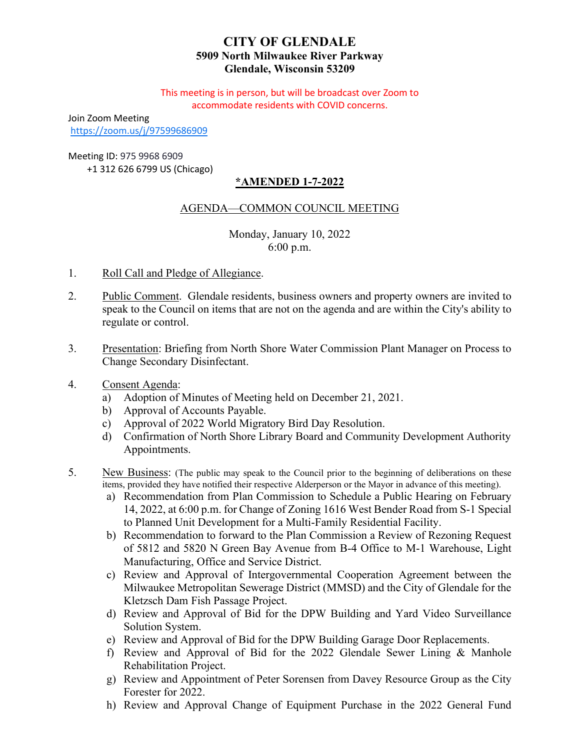# **CITY OF GLENDALE 5909 North Milwaukee River Parkway Glendale, Wisconsin 53209**

This meeting is in person, but will be broadcast over Zoom to accommodate residents with COVID concerns.

Join Zoom Meeting

<https://zoom.us/j/97599686909>

# Meeting ID: 975 9968 6909

+1 312 626 6799 US (Chicago)

# **\*AMENDED 1-7-2022**

# AGENDA—COMMON COUNCIL MEETING

Monday, January 10, 2022 6:00 p.m.

- 1. Roll Call and Pledge of Allegiance.
- 2. Public Comment. Glendale residents, business owners and property owners are invited to speak to the Council on items that are not on the agenda and are within the City's ability to regulate or control.
- 3. [Presentation: Briefing from North Shore Water Commission Plant Manager on Process to](#page-2-0)  Change Secondary Disinfectant.
- 4. Consent Agenda:
	- a) Adoption of Minutes of Meeting held on December 21, 2021.
	- b) Approval of Accounts Payable.
	- c) Approval of 2022 World Migratory Bird Day Resolution.
	- d) [Confirmation of North Shore Library Board and Community Development Authority](#page-3-0)  Appointments.
- 5. New Business: (The public may speak to the Council prior to the beginning of deliberations on these items, provided they have notified their respective Alderperson or the Mayor in advance of this meeting).
	- a) [Recommendation from Plan Commission to Schedule a Public Hearing on February](#page-4-0)  14, 2022, at 6:00 p.m. for Change of Zoning 1616 West Bender Road from S-1 Special to Planned Unit Development for a Multi-Family Residential Facility.
	- b) [Recommendation to forward to the Plan Commission a Review of Rezoning Request](#page-5-0)  of 5812 and 5820 N Green Bay Avenue from B-4 Office to M-1 Warehouse, Light Manufacturing, Office and Service District.
	- c) Review and Approval of Intergovernmental Cooperation Agreement between the [Milwaukee Metropolitan Sewerage District \(MMSD\) and the City of Glendale for the](#page-6-0)  Kletzsch Dam Fish Passage Project.
	- d) [Review and Approval of Bid for the DPW Building and Yard Video Surveillance](#page-7-0)  Solution System.
	- e) [Review and Approval of Bid for the DPW Building Garage Door Replacements.](#page-8-0)
	- f) [Review and Approval of Bid for the 2022 Glendale Sewer Lining & Manhole](#page-9-0)  Rehabilitation Project.
	- g) [Review and Appointment of Peter Sorensen from Davey Resource Group as the City](#page-10-0)  Forester for 2022.
	- h) [Review and Approval Change of Equipment Purchase in the 2022 General Fund](#page-11-0)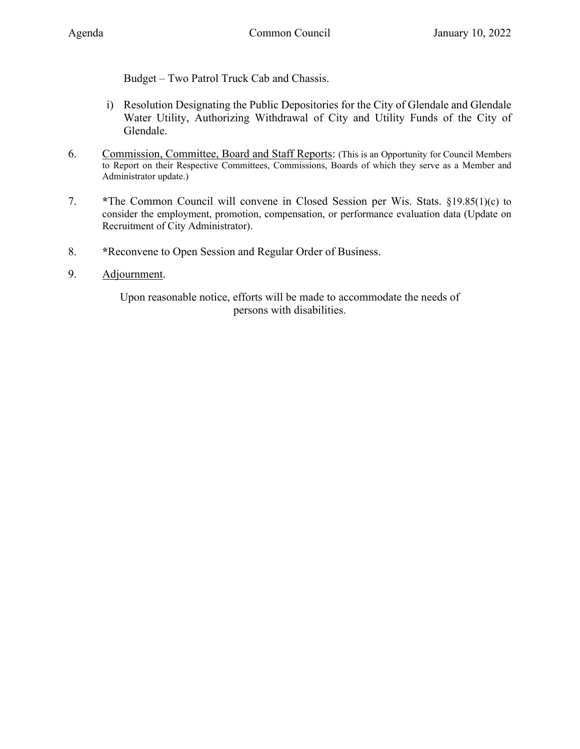Budget – [Two Patrol Truck Cab and Chassis.](#page-11-0)

- i) [Resolution Designating the Public Depositories for the City of Glendale and Glendale](#page-13-0)  Water Utility, Authorizing Withdrawal of City and Utility Funds of the City of Glendale.
- 6. Commission, Committee, Board and Staff Reports: (This is an Opportunity for Council Members to Report on their Respective Committees, Commissions, Boards of which they serve as a Member and Administrator update.)
- 7. **\***The Common Council will convene in Closed Session per Wis. Stats. §19.85(1)(c) to consider the employment, promotion, compensation, or performance evaluation data (Update on Recruitment of City Administrator).
- 8. **\***Reconvene to Open Session and Regular Order of Business.
- 9. Adjournment.

Upon reasonable notice, efforts will be made to accommodate the needs of persons with disabilities.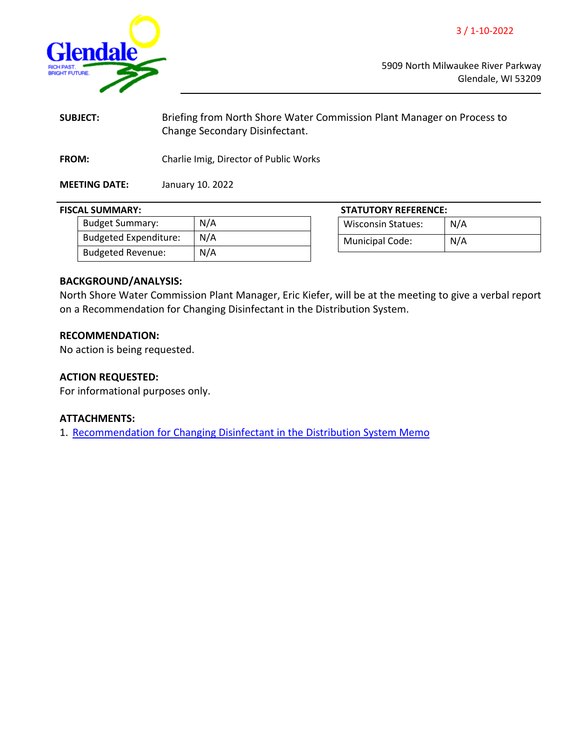3 / 1-10-2022

<span id="page-2-0"></span>

5909 North Milwaukee River Parkway Glendale, WI 53209

| <b>SUBJECT:</b>      | Briefing from North Shore Water Commission Plant Manager on Process to<br>Change Secondary Disinfectant. |
|----------------------|----------------------------------------------------------------------------------------------------------|
| <b>FROM:</b>         | Charlie Imig, Director of Public Works                                                                   |
| <b>MEETING DATE:</b> | January 10. 2022                                                                                         |

| <b>Budget Summary:</b>       | N/A |
|------------------------------|-----|
| <b>Budgeted Expenditure:</b> | N/A |
| <b>Budgeted Revenue:</b>     | N/A |
|                              |     |

#### **FISCAL SUMMARY: STATUTORY REFERENCE:**

| <b>Wisconsin Statues:</b> | N/A |
|---------------------------|-----|
| <b>Municipal Code:</b>    | N/A |

# **BACKGROUND/ANALYSIS:**

North Shore Water Commission Plant Manager, Eric Kiefer, will be at the meeting to give a verbal report on a Recommendation for Changing Disinfectant in the Distribution System.

#### **RECOMMENDATION:**

No action is being requested.

# **ACTION REQUESTED:**

For informational purposes only.

#### **ATTACHMENTS:**

1. [Recommendation for Changing Disinfectant in the Distribution System Memo](https://www.glendale-wi.org/DocumentCenter/View/2355/Changing-Disinfectant-in-Distribution-System-11042021)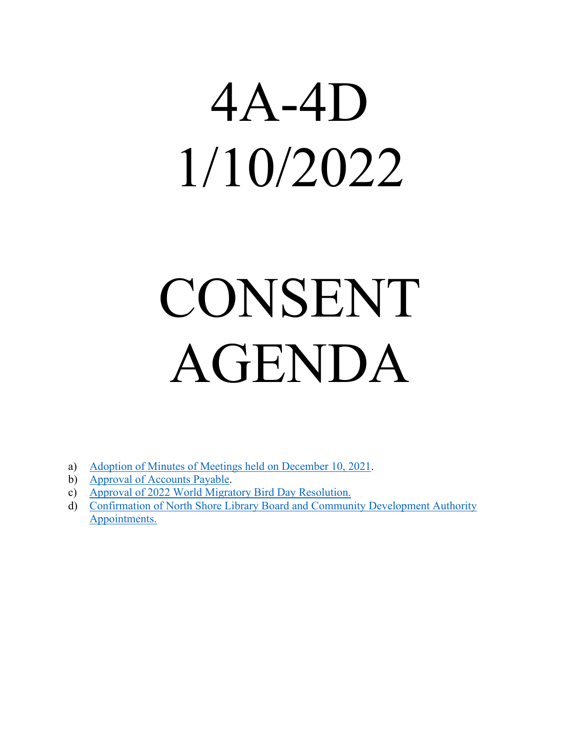# <span id="page-3-0"></span>4A-4D 1/10/2022

# CONSENT AGENDA

- a) [Adoption of Minutes of Meetings held on December 10, 2021.](https://www.glendale-wi.org/DocumentCenter/View/2350/Council-Minutes-12-21-2021)
- b) [Approval of Accounts Payable.](https://www.glendale-wi.org/DocumentCenter/View/2354/Accounts-Payable-Report-for-Council-Meeting-1-10-22)
- c) [Approval of 2022 World Migratory Bird Day Resolution.](https://www.glendale-wi.org/DocumentCenter/View/2363/Memo---World-Migratory-Bird-Day-2022)
- d) [Confirmation of North Shore Library Board and Community Development Authority](http://www.glendale-wi.org/DocumentCenter/View/2365/Memo---Committee-Appointments) [Appointments.](http://www.glendale-wi.org/DocumentCenter/View/2365/Memo---Committee-Appointments)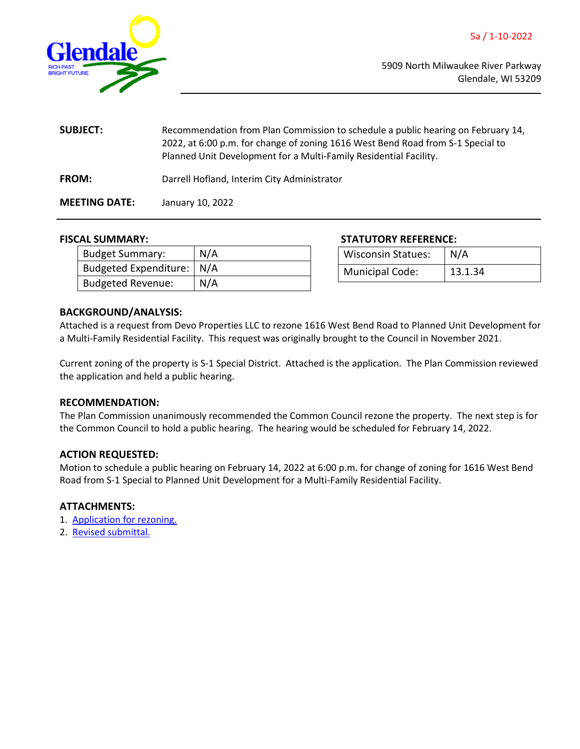<span id="page-4-0"></span>

| <b>SUBJECT:</b>      | Recommendation from Plan Commission to schedule a public hearing on February 14,<br>2022, at 6:00 p.m. for change of zoning 1616 West Bend Road from S-1 Special to<br>Planned Unit Development for a Multi-Family Residential Facility. |
|----------------------|------------------------------------------------------------------------------------------------------------------------------------------------------------------------------------------------------------------------------------------|
| <b>FROM:</b>         | Darrell Hofland, Interim City Administrator                                                                                                                                                                                              |
| <b>MEETING DATE:</b> | January 10, 2022                                                                                                                                                                                                                         |

| <b>Budget Summary:</b>      | N/A |
|-----------------------------|-----|
| Budgeted Expenditure:   N/A |     |
| <b>Budgeted Revenue:</b>    | N/A |

#### **FISCAL SUMMARY: STATUTORY REFERENCE:**

| <b>Wisconsin Statues:</b> | N/A     |
|---------------------------|---------|
| Municipal Code:           | 13.1.34 |

# **BACKGROUND/ANALYSIS:**

Attached is a request from Devo Properties LLC to rezone 1616 West Bend Road to Planned Unit Development for a Multi-Family Residential Facility. This request was originally brought to the Council in November 2021.

Current zoning of the property is S-1 Special District. Attached is the application. The Plan Commission reviewed the application and held a public hearing.

# **RECOMMENDATION:**

The Plan Commission unanimously recommended the Common Council rezone the property. The next step is for the Common Council to hold a public hearing. The hearing would be scheduled for February 14, 2022.

# **ACTION REQUESTED:**

Motion to schedule a public hearing on February 14, 2022 at 6:00 p.m. for change of zoning for 1616 West Bend Road from S-1 Special to Planned Unit Development for a Multi-Family Residential Facility.

# **ATTACHMENTS:**

- 1. [Application for rezoning.](https://www.glendale-wi.org/DocumentCenter/View/2352/2-1616-W-Bender-Rd-Original-Rezone-Submittal)
- 2. [Revised submittal.](https://www.glendale-wi.org/DocumentCenter/View/2351/1-1616-W-Bender-Rd-PC-Submittal-Revised)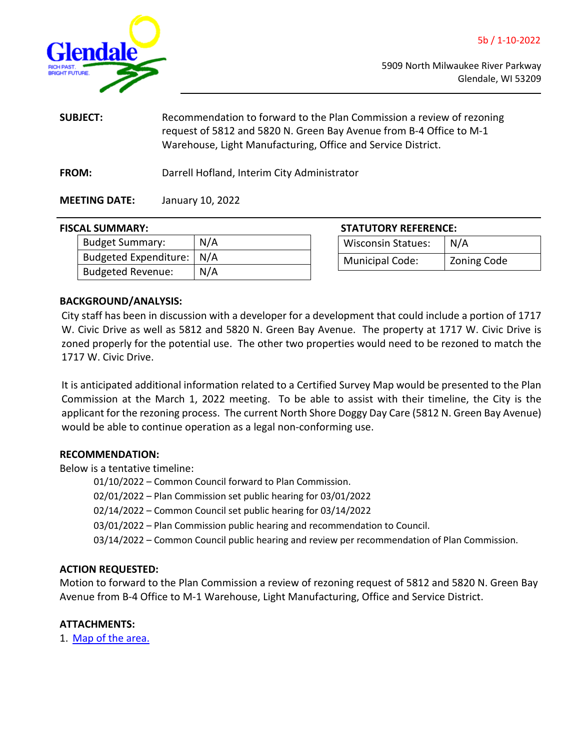<span id="page-5-0"></span>

| <b>SUBJECT:</b>      | Recommendation to forward to the Plan Commission a review of rezoning<br>request of 5812 and 5820 N. Green Bay Avenue from B-4 Office to M-1<br>Warehouse, Light Manufacturing, Office and Service District. |  |
|----------------------|--------------------------------------------------------------------------------------------------------------------------------------------------------------------------------------------------------------|--|
| <b>FROM:</b>         | Darrell Hofland, Interim City Administrator                                                                                                                                                                  |  |
| <b>MEETING DATE:</b> | January 10, 2022                                                                                                                                                                                             |  |

# **FISCAL SUMMARY:**

| <b>Budget Summary:</b>      | N/A |
|-----------------------------|-----|
| Budgeted Expenditure:   N/A |     |
| <b>Budgeted Revenue:</b>    | N/A |

| <b>STATUTORY REFERENCE:</b> |             |  |
|-----------------------------|-------------|--|
| <b>Wisconsin Statues:</b>   | N/A         |  |
| <b>Municipal Code:</b>      | Zoning Code |  |

# **BACKGROUND/ANALYSIS:**

City staff has been in discussion with a developer for a development that could include a portion of 1717 W. Civic Drive as well as 5812 and 5820 N. Green Bay Avenue. The property at 1717 W. Civic Drive is zoned properly for the potential use. The other two properties would need to be rezoned to match the 1717 W. Civic Drive.

It is anticipated additional information related to a Certified Survey Map would be presented to the Plan Commission at the March 1, 2022 meeting. To be able to assist with their timeline, the City is the applicant for the rezoning process. The current North Shore Doggy Day Care (5812 N. Green Bay Avenue) would be able to continue operation as a legal non-conforming use.

# **RECOMMENDATION:**

Below is a tentative timeline:

01/10/2022 – Common Council forward to Plan Commission.

02/01/2022 – Plan Commission set public hearing for 03/01/2022

02/14/2022 – Common Council set public hearing for 03/14/2022

03/01/2022 – Plan Commission public hearing and recommendation to Council.

03/14/2022 – Common Council public hearing and review per recommendation of Plan Commission.

# **ACTION REQUESTED:**

Motion to forward to the Plan Commission a review of rezoning request of 5812 and 5820 N. Green Bay Avenue from B-4 Office to M-1 Warehouse, Light Manufacturing, Office and Service District.

# **ATTACHMENTS:**

1. [Map of the area.](https://www.glendale-wi.org/DocumentCenter/View/2362/Rezoning-Map)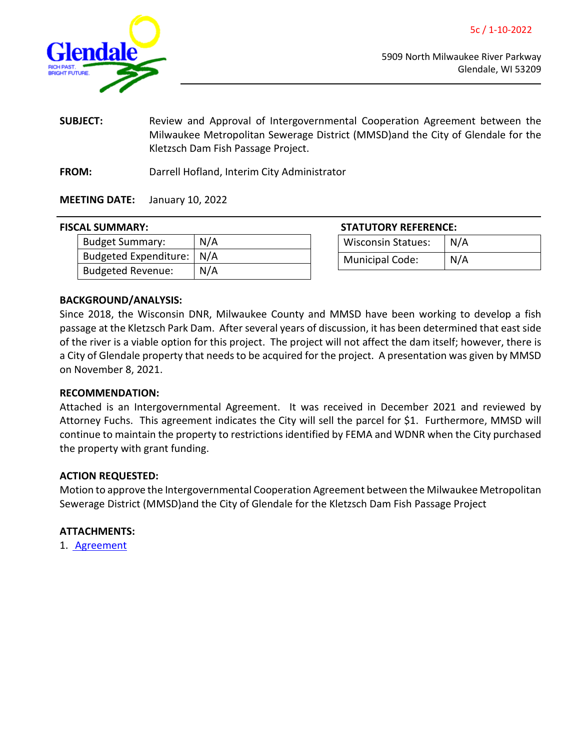5c / 1-10-2022

<span id="page-6-0"></span>

5909 North Milwaukee River Parkway Glendale, WI 53209

- **SUBJECT:** Review and Approval of Intergovernmental Cooperation Agreement between the Milwaukee Metropolitan Sewerage District (MMSD)and the City of Glendale for the Kletzsch Dam Fish Passage Project.
- **FROM:** Darrell Hofland, Interim City Administrator

# **MEETING DATE:** January 10, 2022

# **FISCAL SUMMARY:**

| Budget Summary:             | N/A |
|-----------------------------|-----|
| Budgeted Expenditure:   N/A |     |
| Budgeted Revenue:           | N/A |

| <b>STATUTORY REFERENCE:</b> |     |
|-----------------------------|-----|
| <b>Wisconsin Statues:</b>   | N/A |
| <b>Municipal Code:</b>      | N/A |

# **BACKGROUND/ANALYSIS:**

Since 2018, the Wisconsin DNR, Milwaukee County and MMSD have been working to develop a fish passage at the Kletzsch Park Dam. After several years of discussion, it has been determined that east side of the river is a viable option for this project. The project will not affect the dam itself; however, there is a City of Glendale property that needs to be acquired for the project. A presentation was given by MMSD on November 8, 2021.

# **RECOMMENDATION:**

Attached is an Intergovernmental Agreement. It was received in December 2021 and reviewed by Attorney Fuchs. This agreement indicates the City will sell the parcel for \$1. Furthermore, MMSD will continue to maintain the property to restrictions identified by FEMA and WDNR when the City purchased the property with grant funding.

# **ACTION REQUESTED:**

Motion to approve the Intergovernmental Cooperation Agreement between the Milwaukee Metropolitan Sewerage District (MMSD)and the City of Glendale for the Kletzsch Dam Fish Passage Project

# **ATTACHMENTS:**

1. [Agreement](https://www.glendale-wi.org/DocumentCenter/View/2357/GlendaleICA_Kletzsch_12152021)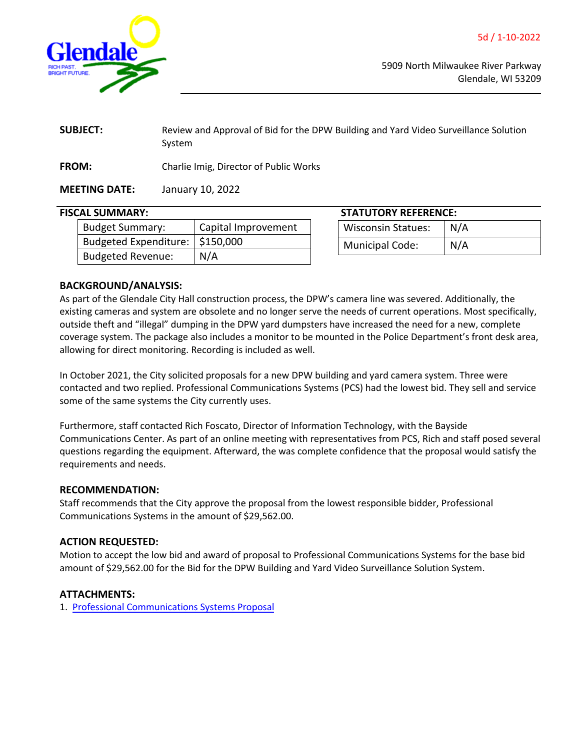<span id="page-7-0"></span>

| <b>SUBJECT:</b> | Review and Approval of Bid for the DPW Building and Yard Video Surveillance Solution<br>System |
|-----------------|------------------------------------------------------------------------------------------------|
| <b>FROM:</b>    | Charlie Imig, Director of Public Works                                                         |

**MEETING DATE:** January 10, 2022

# **FISCAL SUMMARY:**

| <b>Budget Summary:</b>            | Capital Improvement |
|-----------------------------------|---------------------|
| Budgeted Expenditure:   \$150,000 |                     |
| <b>Budgeted Revenue:</b>          | N/A                 |

| <b>STATUTORY REFERENCE:</b> |     |  |
|-----------------------------|-----|--|
| Wisconsin Statues:          | N/A |  |
| <b>Municipal Code:</b>      | N/A |  |

# **BACKGROUND/ANALYSIS:**

As part of the Glendale City Hall construction process, the DPW's camera line was severed. Additionally, the existing cameras and system are obsolete and no longer serve the needs of current operations. Most specifically, outside theft and "illegal" dumping in the DPW yard dumpsters have increased the need for a new, complete coverage system. The package also includes a monitor to be mounted in the Police Department's front desk area, allowing for direct monitoring. Recording is included as well.

In October 2021, the City solicited proposals for a new DPW building and yard camera system. Three were contacted and two replied. Professional Communications Systems (PCS) had the lowest bid. They sell and service some of the same systems the City currently uses.

Furthermore, staff contacted Rich Foscato, Director of Information Technology, with the Bayside Communications Center. As part of an online meeting with representatives from PCS, Rich and staff posed several questions regarding the equipment. Afterward, the was complete confidence that the proposal would satisfy the requirements and needs.

# **RECOMMENDATION:**

Staff recommends that the City approve the proposal from the lowest responsible bidder, Professional Communications Systems in the amount of \$29,562.00.

# **ACTION REQUESTED:**

Motion to accept the low bid and award of proposal to Professional Communications Systems for the base bid amount of \$29,562.00 for the Bid for the DPW Building and Yard Video Surveillance Solution System.

# **ATTACHMENTS:**

1. [Professional Communications Systems Proposal](https://www.glendale-wi.org/DocumentCenter/View/2359/Professional-Communications-Systems-Glendale-DPW-Video-Surveillance-Proposal)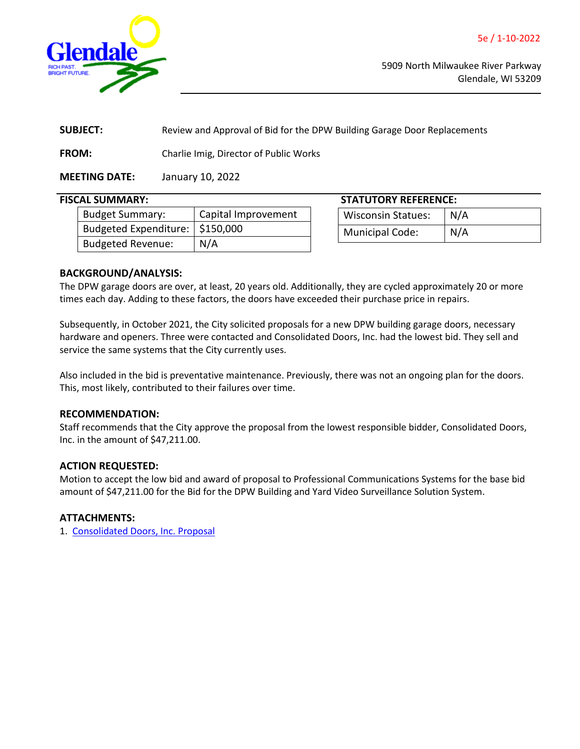<span id="page-8-0"></span>

**SUBJECT:** Review and Approval of Bid for the DPW Building Garage Door Replacements

**FROM:** Charlie Imig, Director of Public Works

**MEETING DATE:** January 10, 2022

| <b>Budget Summary:</b>            | Capital Improvement |
|-----------------------------------|---------------------|
| Budgeted Expenditure:   \$150,000 |                     |
| <b>Budgeted Revenue:</b>          | N/A                 |

**FISCAL SUMMARY: STATUTORY REFERENCE:** Wisconsin Statues: N/A Municipal Code: | N/A

# **BACKGROUND/ANALYSIS:**

The DPW garage doors are over, at least, 20 years old. Additionally, they are cycled approximately 20 or more times each day. Adding to these factors, the doors have exceeded their purchase price in repairs.

Subsequently, in October 2021, the City solicited proposals for a new DPW building garage doors, necessary hardware and openers. Three were contacted and Consolidated Doors, Inc. had the lowest bid. They sell and service the same systems that the City currently uses.

Also included in the bid is preventative maintenance. Previously, there was not an ongoing plan for the doors. This, most likely, contributed to their failures over time.

# **RECOMMENDATION:**

Staff recommends that the City approve the proposal from the lowest responsible bidder, Consolidated Doors, Inc. in the amount of \$47,211.00.

# **ACTION REQUESTED:**

Motion to accept the low bid and award of proposal to Professional Communications Systems for the base bid amount of \$47,211.00 for the Bid for the DPW Building and Yard Video Surveillance Solution System.

# **ATTACHMENTS:**

1. [Consolidated Doors, Inc. Proposal](https://www.glendale-wi.org/DocumentCenter/View/2356/Consolidated-Doors-Inc---DPW-Garage-Door-Proposal)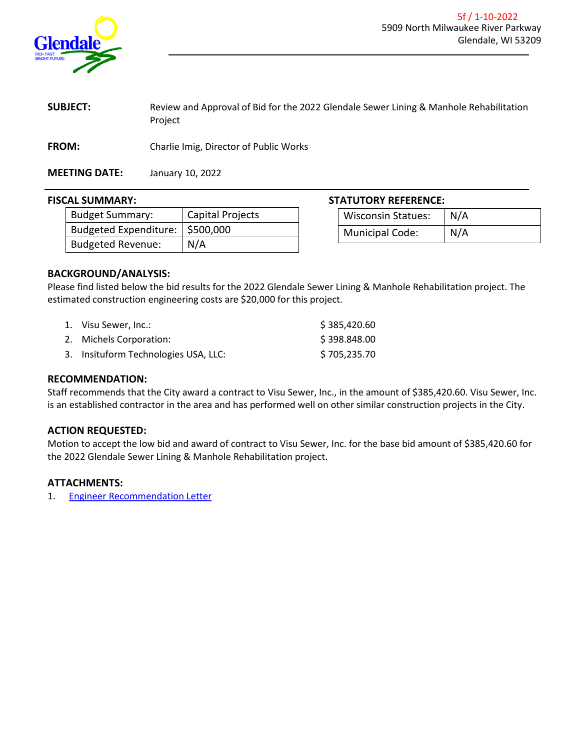<span id="page-9-0"></span>

**SUBJECT:** Review and Approval of Bid for the 2022 Glendale Sewer Lining & Manhole Rehabilitation Project

**FROM:** Charlie Imig, Director of Public Works

**MEETING DATE:** January 10, 2022

| <b>Budget Summary:</b>            | Capital Projects |
|-----------------------------------|------------------|
| Budgeted Expenditure:   \$500,000 |                  |
| <b>Budgeted Revenue:</b>          | N/A              |

# **FISCAL SUMMARY: STATUTORY REFERENCE:**

| Wisconsin Statues:     | $\mid N/A$ |
|------------------------|------------|
| <b>Municipal Code:</b> | N/A        |

# **BACKGROUND/ANALYSIS:**

Please find listed below the bid results for the 2022 Glendale Sewer Lining & Manhole Rehabilitation project. The estimated construction engineering costs are \$20,000 for this project.

| 1. Visu Sewer, Inc.:                 | \$385,420.60 |
|--------------------------------------|--------------|
| 2. Michels Corporation:              | \$398.848.00 |
| 3. Insituform Technologies USA, LLC: | \$705,235.70 |

#### **RECOMMENDATION:**

Staff recommends that the City award a contract to Visu Sewer, Inc., in the amount of \$385,420.60. Visu Sewer, Inc. is an established contractor in the area and has performed well on other similar construction projects in the City.

# **ACTION REQUESTED:**

Motion to accept the low bid and award of contract to Visu Sewer, Inc. for the base bid amount of \$385,420.60 for the 2022 Glendale Sewer Lining & Manhole Rehabilitation project.

# **ATTACHMENTS:**

1. [Engineer Recommendation Letter](https://www.glendale-wi.org/DocumentCenter/View/2353/2022-Sewer-Lining-and-Manhole-Rehab-Project---Engineer-Recommendation-Letter)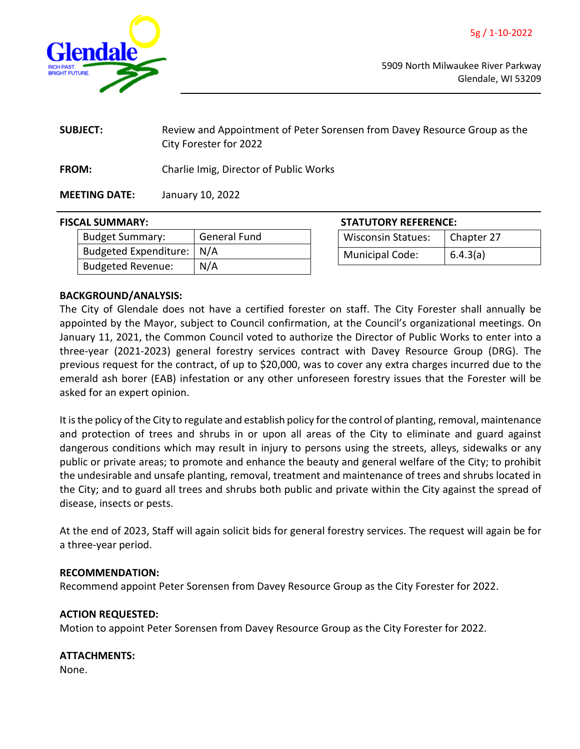<span id="page-10-0"></span>

| <b>SUBJECT:</b> | Review and Appointment of Peter Sorensen from Davey Resource Group as the |
|-----------------|---------------------------------------------------------------------------|
|                 | City Forester for 2022                                                    |

**FROM:** Charlie Imig, Director of Public Works

**MEETING DATE:** January 10, 2022

# **FISCAL SUMMARY: STATUTORY REFERENCE:**

| <b>Budget Summary:</b>      | <b>General Fund</b> |
|-----------------------------|---------------------|
| Budgeted Expenditure:   N/A |                     |
| <b>Budgeted Revenue:</b>    | N/A                 |

| <b>Wisconsin Statues:</b> | Chapter 27 |  |
|---------------------------|------------|--|
| <b>Municipal Code:</b>    | 6.4.3(a)   |  |

# **BACKGROUND/ANALYSIS:**

The City of Glendale does not have a certified forester on staff. The City Forester shall annually be appointed by the Mayor, subject to Council confirmation, at the Council's organizational meetings. On January 11, 2021, the Common Council voted to authorize the Director of Public Works to enter into a three-year (2021-2023) general forestry services contract with Davey Resource Group (DRG). The previous request for the contract, of up to \$20,000, was to cover any extra charges incurred due to the emerald ash borer (EAB) infestation or any other unforeseen forestry issues that the Forester will be asked for an expert opinion.

It is the policy of the City to regulate and establish policy for the control of planting, removal, maintenance and protection of trees and shrubs in or upon all areas of the City to eliminate and guard against dangerous conditions which may result in injury to persons using the streets, alleys, sidewalks or any public or private areas; to promote and enhance the beauty and general welfare of the City; to prohibit the undesirable and unsafe planting, removal, treatment and maintenance of trees and shrubs located in the City; and to guard all trees and shrubs both public and private within the City against the spread of disease, insects or pests.

At the end of 2023, Staff will again solicit bids for general forestry services. The request will again be for a three-year period.

# **RECOMMENDATION:**

Recommend appoint Peter Sorensen from Davey Resource Group as the City Forester for 2022.

# **ACTION REQUESTED:**

Motion to appoint Peter Sorensen from Davey Resource Group as the City Forester for 2022.

# **ATTACHMENTS:**

None.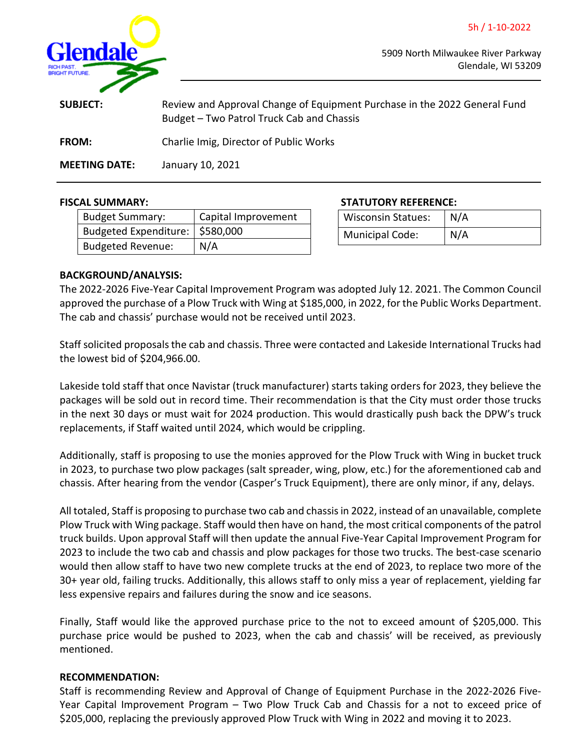5h / 1-10-2022

<span id="page-11-0"></span>

5909 North Milwaukee River Parkway Glendale, WI 53209

| <b>SUBJECT:</b>      | Review and Approval Change of Equipment Purchase in the 2022 General Fund<br>Budget – Two Patrol Truck Cab and Chassis |
|----------------------|------------------------------------------------------------------------------------------------------------------------|
| <b>FROM:</b>         | Charlie Imig, Director of Public Works                                                                                 |
| <b>MEETING DATE:</b> | January 10, 2021                                                                                                       |

| <b>Budget Summary:</b>         | Capital Improvement |
|--------------------------------|---------------------|
| Budgeted Expenditure: 5580,000 |                     |
| <b>Budgeted Revenue:</b>       | N/A                 |

**FISCAL SUMMARY: STATUTORY REFERENCE:**

| <b>Wisconsin Statues:</b> | N/A |
|---------------------------|-----|
| Municipal Code:           | N/A |

# **BACKGROUND/ANALYSIS:**

The 2022-2026 Five-Year Capital Improvement Program was adopted July 12. 2021. The Common Council approved the purchase of a Plow Truck with Wing at \$185,000, in 2022, for the Public Works Department. The cab and chassis' purchase would not be received until 2023.

Staff solicited proposals the cab and chassis. Three were contacted and Lakeside International Trucks had the lowest bid of \$204,966.00.

Lakeside told staff that once Navistar (truck manufacturer) starts taking orders for 2023, they believe the packages will be sold out in record time. Their recommendation is that the City must order those trucks in the next 30 days or must wait for 2024 production. This would drastically push back the DPW's truck replacements, if Staff waited until 2024, which would be crippling.

Additionally, staff is proposing to use the monies approved for the Plow Truck with Wing in bucket truck in 2023, to purchase two plow packages (salt spreader, wing, plow, etc.) for the aforementioned cab and chassis. After hearing from the vendor (Casper's Truck Equipment), there are only minor, if any, delays.

All totaled, Staff is proposing to purchase two cab and chassis in 2022, instead of an unavailable, complete Plow Truck with Wing package. Staff would then have on hand, the most critical components of the patrol truck builds. Upon approval Staff will then update the annual Five-Year Capital Improvement Program for 2023 to include the two cab and chassis and plow packages for those two trucks. The best-case scenario would then allow staff to have two new complete trucks at the end of 2023, to replace two more of the 30+ year old, failing trucks. Additionally, this allows staff to only miss a year of replacement, yielding far less expensive repairs and failures during the snow and ice seasons.

Finally, Staff would like the approved purchase price to the not to exceed amount of \$205,000. This purchase price would be pushed to 2023, when the cab and chassis' will be received, as previously mentioned.

# **RECOMMENDATION:**

Staff is recommending Review and Approval of Change of Equipment Purchase in the 2022-2026 Five-Year Capital Improvement Program – Two Plow Truck Cab and Chassis for a not to exceed price of \$205,000, replacing the previously approved Plow Truck with Wing in 2022 and moving it to 2023.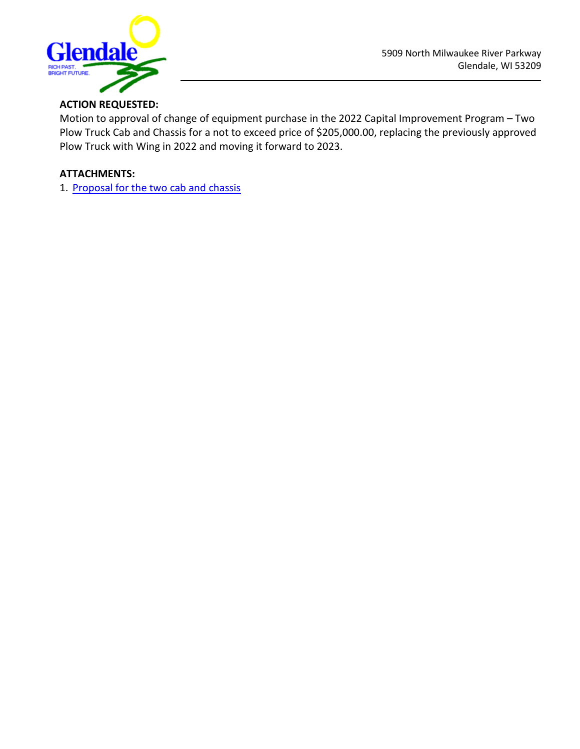

# **ACTION REQUESTED:**

Motion to approval of change of equipment purchase in the 2022 Capital Improvement Program – Two Plow Truck Cab and Chassis for a not to exceed price of \$205,000.00, replacing the previously approved Plow Truck with Wing in 2022 and moving it forward to 2023.

# **ATTACHMENTS:**

1. [Proposal](https://www.glendale-wi.org/DocumentCenter/View/2358/Lakeside-International-City-of-Glendale-HV507-Patrol-Truck-Proposal) for th[e two cab and chassis](https://www.glendale-wi.org/DocumentCenter/View/2358/Lakeside-International-City-of-Glendale-HV507-Patrol-Truck-Proposal)